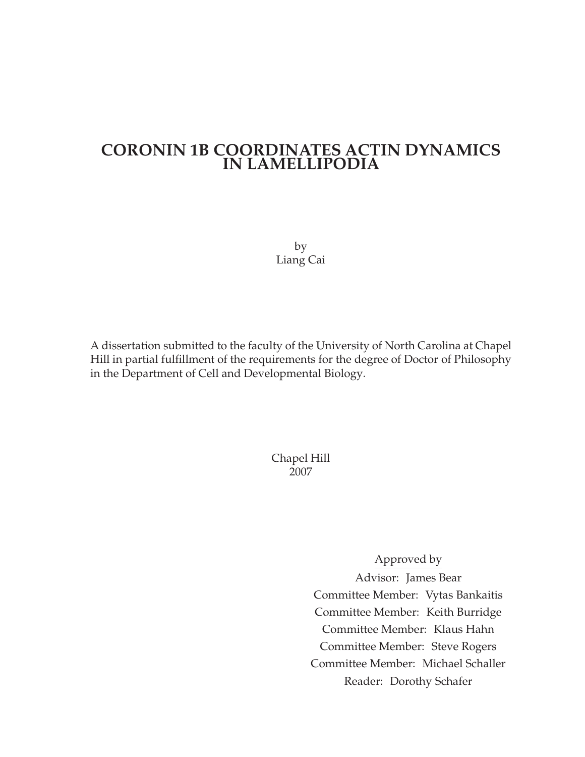### **CORONIN 1B COORDINATES ACTIN DYNAMICS IN LAMELLIPODIA**

by Liang Cai

A dissertation submitted to the faculty of the University of North Carolina at Chapel Hill in partial fulfillment of the requirements for the degree of Doctor of Philosophy in the Department of Cell and Developmental Biology.

> Chapel Hill 2007

> > Approved by

Advisor: James Bear Committee Member: Vytas Bankaitis Committee Member: Keith Burridge Committee Member: Klaus Hahn Committee Member: Steve Rogers Committee Member: Michael Schaller Reader: Dorothy Schafer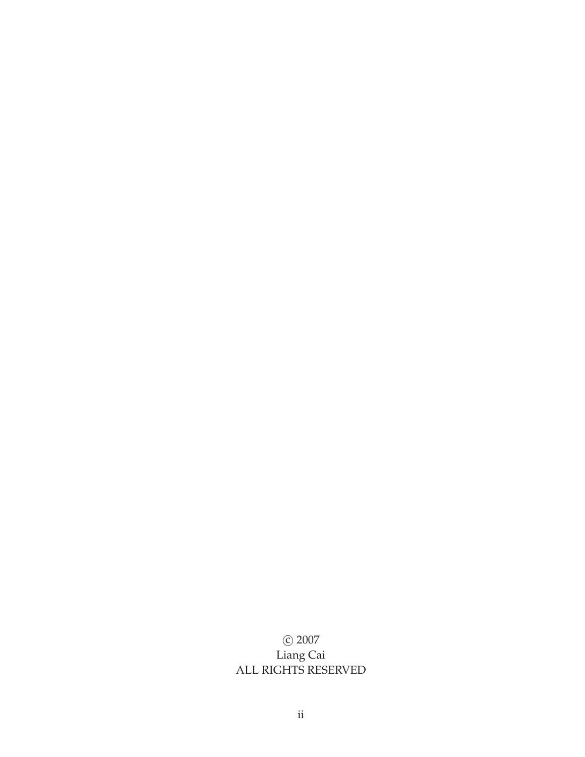#### c 2007 Liang Cai ALL RIGHTS RESERVED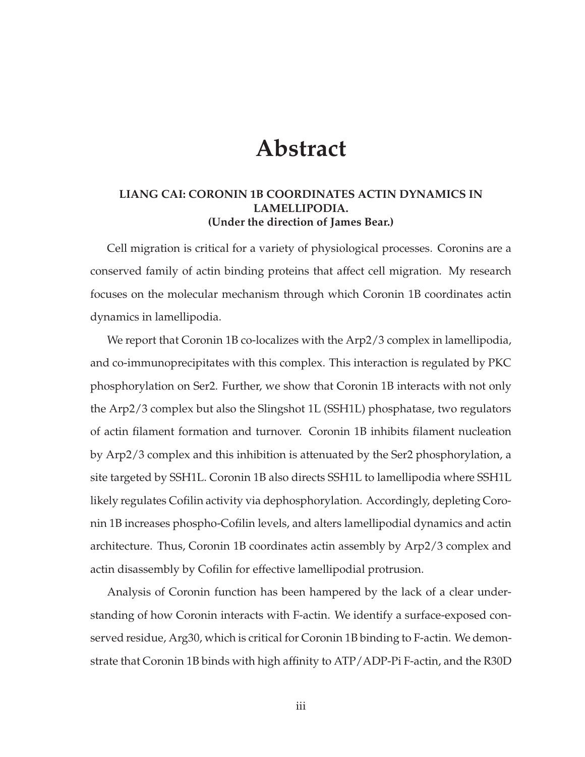## **Abstract**

#### **LIANG CAI: CORONIN 1B COORDINATES ACTIN DYNAMICS IN LAMELLIPODIA. (Under the direction of James Bear.)**

Cell migration is critical for a variety of physiological processes. Coronins are a conserved family of actin binding proteins that affect cell migration. My research focuses on the molecular mechanism through which Coronin 1B coordinates actin dynamics in lamellipodia.

We report that Coronin 1B co-localizes with the Arp2/3 complex in lamellipodia, and co-immunoprecipitates with this complex. This interaction is regulated by PKC phosphorylation on Ser2. Further, we show that Coronin 1B interacts with not only the Arp2/3 complex but also the Slingshot 1L (SSH1L) phosphatase, two regulators of actin filament formation and turnover. Coronin 1B inhibits filament nucleation by Arp2/3 complex and this inhibition is attenuated by the Ser2 phosphorylation, a site targeted by SSH1L. Coronin 1B also directs SSH1L to lamellipodia where SSH1L likely regulates Cofilin activity via dephosphorylation. Accordingly, depleting Coronin 1B increases phospho-Cofilin levels, and alters lamellipodial dynamics and actin architecture. Thus, Coronin 1B coordinates actin assembly by Arp2/3 complex and actin disassembly by Cofilin for effective lamellipodial protrusion.

Analysis of Coronin function has been hampered by the lack of a clear understanding of how Coronin interacts with F-actin. We identify a surface-exposed conserved residue, Arg30, which is critical for Coronin 1B binding to F-actin. We demonstrate that Coronin 1B binds with high affinity to ATP/ADP-Pi F-actin, and the R30D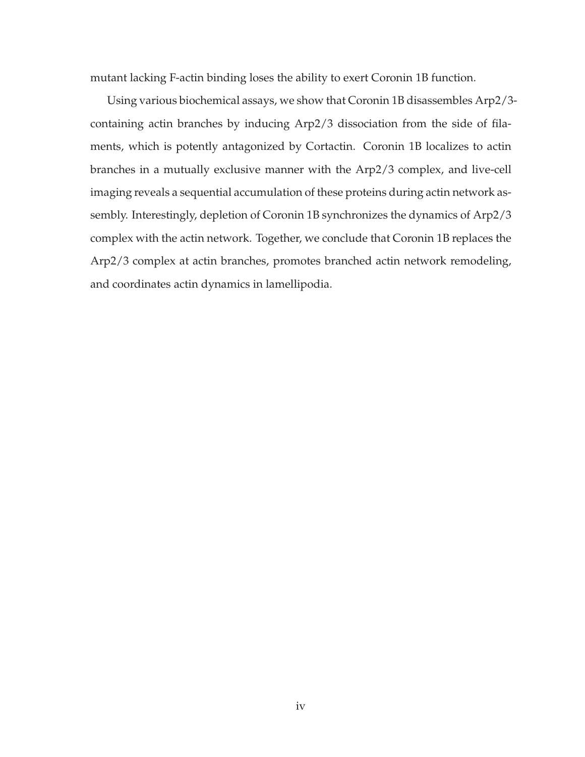mutant lacking F-actin binding loses the ability to exert Coronin 1B function.

Using various biochemical assays, we show that Coronin 1B disassembles Arp2/3 containing actin branches by inducing Arp2/3 dissociation from the side of filaments, which is potently antagonized by Cortactin. Coronin 1B localizes to actin branches in a mutually exclusive manner with the Arp2/3 complex, and live-cell imaging reveals a sequential accumulation of these proteins during actin network assembly. Interestingly, depletion of Coronin 1B synchronizes the dynamics of Arp2/3 complex with the actin network. Together, we conclude that Coronin 1B replaces the Arp2/3 complex at actin branches, promotes branched actin network remodeling, and coordinates actin dynamics in lamellipodia.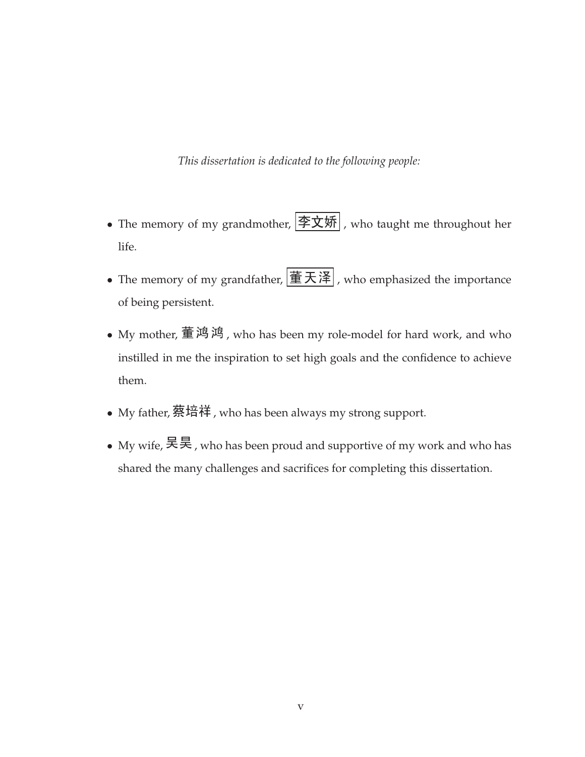*This dissertation is dedicated to the following people:*

- The memory of my grandmother,  $|\nRightarrow \mathbf{\hat{y}}_m|$ , who taught me throughout her life.
- The memory of my grandfather,  $\boxed{\mathbf{\mathbf{\mathring{\equiv} \mathcal{\mathcal{F}^{\mathcal{\mathcal{F}}}}}}}$ , who emphasized the importance of being persistent.
- My mother, 董鸿鸿, who has been my role-model for hard work, and who instilled in me the inspiration to set high goals and the confidence to achieve them.
- My father, 蔡培祥, who has been always my strong support.
- My wife, 吴昊, who has been proud and supportive of my work and who has shared the many challenges and sacrifices for completing this dissertation.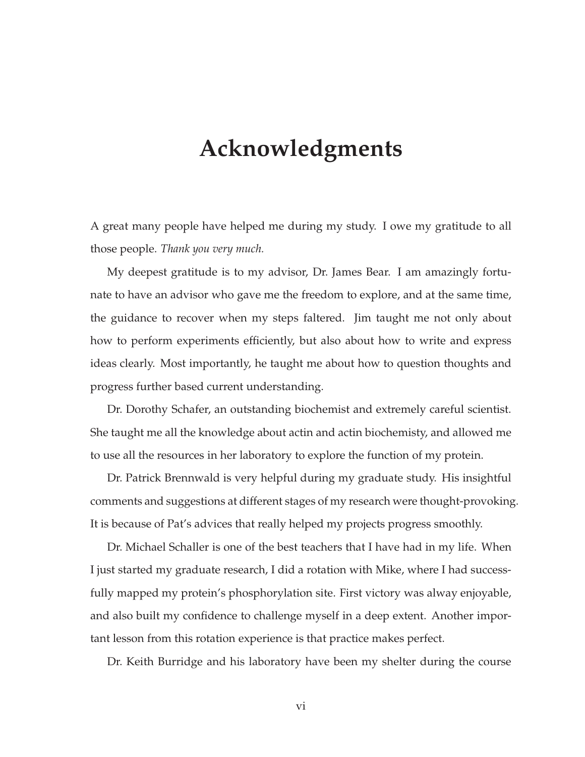## **Acknowledgments**

A great many people have helped me during my study. I owe my gratitude to all those people. *Thank you very much.*

My deepest gratitude is to my advisor, Dr. James Bear. I am amazingly fortunate to have an advisor who gave me the freedom to explore, and at the same time, the guidance to recover when my steps faltered. Jim taught me not only about how to perform experiments efficiently, but also about how to write and express ideas clearly. Most importantly, he taught me about how to question thoughts and progress further based current understanding.

Dr. Dorothy Schafer, an outstanding biochemist and extremely careful scientist. She taught me all the knowledge about actin and actin biochemisty, and allowed me to use all the resources in her laboratory to explore the function of my protein.

Dr. Patrick Brennwald is very helpful during my graduate study. His insightful comments and suggestions at different stages of my research were thought-provoking. It is because of Pat's advices that really helped my projects progress smoothly.

Dr. Michael Schaller is one of the best teachers that I have had in my life. When I just started my graduate research, I did a rotation with Mike, where I had successfully mapped my protein's phosphorylation site. First victory was alway enjoyable, and also built my confidence to challenge myself in a deep extent. Another important lesson from this rotation experience is that practice makes perfect.

Dr. Keith Burridge and his laboratory have been my shelter during the course

vi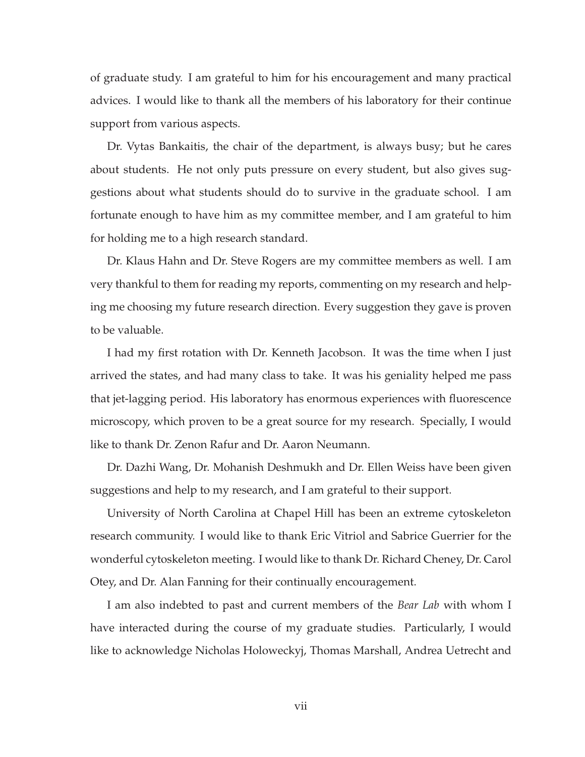of graduate study. I am grateful to him for his encouragement and many practical advices. I would like to thank all the members of his laboratory for their continue support from various aspects.

Dr. Vytas Bankaitis, the chair of the department, is always busy; but he cares about students. He not only puts pressure on every student, but also gives suggestions about what students should do to survive in the graduate school. I am fortunate enough to have him as my committee member, and I am grateful to him for holding me to a high research standard.

Dr. Klaus Hahn and Dr. Steve Rogers are my committee members as well. I am very thankful to them for reading my reports, commenting on my research and helping me choosing my future research direction. Every suggestion they gave is proven to be valuable.

I had my first rotation with Dr. Kenneth Jacobson. It was the time when I just arrived the states, and had many class to take. It was his geniality helped me pass that jet-lagging period. His laboratory has enormous experiences with fluorescence microscopy, which proven to be a great source for my research. Specially, I would like to thank Dr. Zenon Rafur and Dr. Aaron Neumann.

Dr. Dazhi Wang, Dr. Mohanish Deshmukh and Dr. Ellen Weiss have been given suggestions and help to my research, and I am grateful to their support.

University of North Carolina at Chapel Hill has been an extreme cytoskeleton research community. I would like to thank Eric Vitriol and Sabrice Guerrier for the wonderful cytoskeleton meeting. I would like to thank Dr. Richard Cheney, Dr. Carol Otey, and Dr. Alan Fanning for their continually encouragement.

I am also indebted to past and current members of the *Bear Lab* with whom I have interacted during the course of my graduate studies. Particularly, I would like to acknowledge Nicholas Holoweckyj, Thomas Marshall, Andrea Uetrecht and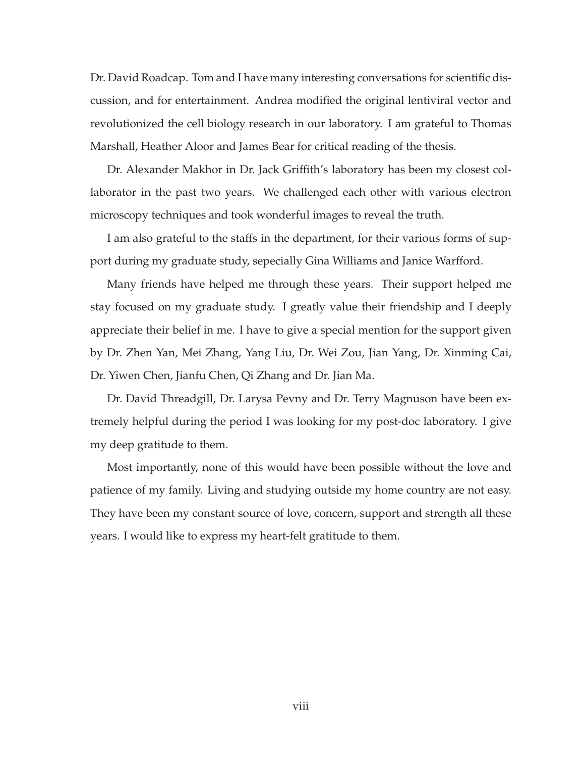Dr. David Roadcap. Tom and I have many interesting conversations for scientific discussion, and for entertainment. Andrea modified the original lentiviral vector and revolutionized the cell biology research in our laboratory. I am grateful to Thomas Marshall, Heather Aloor and James Bear for critical reading of the thesis.

Dr. Alexander Makhor in Dr. Jack Griffith's laboratory has been my closest collaborator in the past two years. We challenged each other with various electron microscopy techniques and took wonderful images to reveal the truth.

I am also grateful to the staffs in the department, for their various forms of support during my graduate study, sepecially Gina Williams and Janice Warfford.

Many friends have helped me through these years. Their support helped me stay focused on my graduate study. I greatly value their friendship and I deeply appreciate their belief in me. I have to give a special mention for the support given by Dr. Zhen Yan, Mei Zhang, Yang Liu, Dr. Wei Zou, Jian Yang, Dr. Xinming Cai, Dr. Yiwen Chen, Jianfu Chen, Qi Zhang and Dr. Jian Ma.

Dr. David Threadgill, Dr. Larysa Pevny and Dr. Terry Magnuson have been extremely helpful during the period I was looking for my post-doc laboratory. I give my deep gratitude to them.

Most importantly, none of this would have been possible without the love and patience of my family. Living and studying outside my home country are not easy. They have been my constant source of love, concern, support and strength all these years. I would like to express my heart-felt gratitude to them.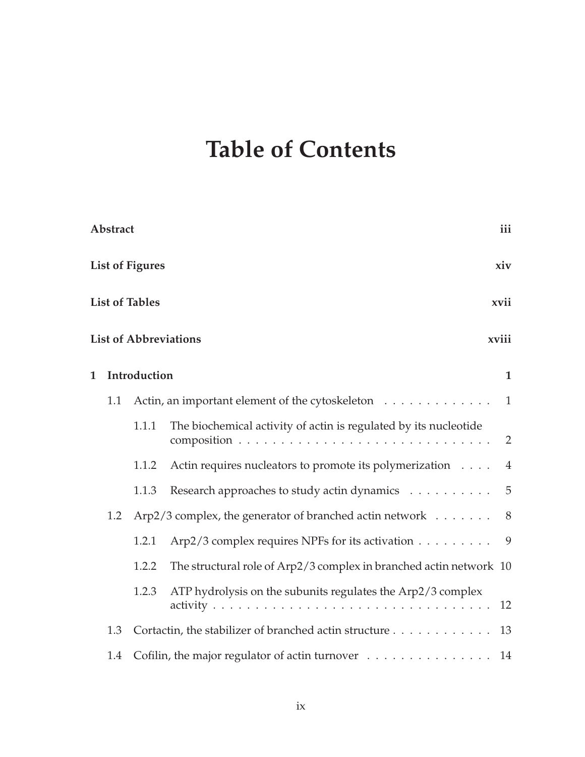## **Table of Contents**

|             | Abstract |                        |                                                                           | iii            |
|-------------|----------|------------------------|---------------------------------------------------------------------------|----------------|
|             |          | <b>List of Figures</b> |                                                                           | xiv            |
|             |          | <b>List of Tables</b>  |                                                                           | xvii           |
|             |          |                        | <b>List of Abbreviations</b>                                              | xviii          |
| $\mathbf 1$ |          | Introduction           |                                                                           | $\mathbf{1}$   |
|             | 1.1      |                        | Actin, an important element of the cytoskeleton                           | $\overline{1}$ |
|             |          | 1.1.1                  | The biochemical activity of actin is regulated by its nucleotide          | 2              |
|             |          | 1.1.2                  | Actin requires nucleators to promote its polymerization                   | $\overline{4}$ |
|             |          | 1.1.3                  | Research approaches to study actin dynamics 5                             |                |
|             | 1.2      |                        | Arp2/3 complex, the generator of branched actin network $\dots \dots$ . 8 |                |
|             |          | 1.2.1                  | Arp2/3 complex requires NPFs for its activation 9                         |                |
|             |          | 1.2.2                  | The structural role of Arp2/3 complex in branched actin network 10        |                |
|             |          | 1.2.3                  | ATP hydrolysis on the subunits regulates the Arp2/3 complex               | 12             |
|             | 1.3      |                        | Cortactin, the stabilizer of branched actin structure                     | 13             |
|             | 1.4      |                        | Cofilin, the major regulator of actin turnover 14                         |                |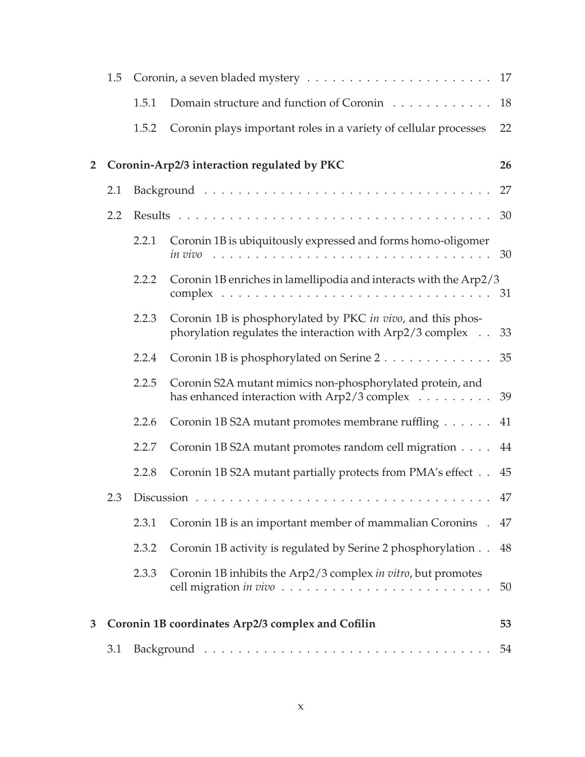|                | 1.5 |       |                                                                                                                           | 17 |
|----------------|-----|-------|---------------------------------------------------------------------------------------------------------------------------|----|
|                |     | 1.5.1 | Domain structure and function of Coronin                                                                                  | 18 |
|                |     | 1.5.2 | Coronin plays important roles in a variety of cellular processes                                                          | 22 |
| $\overline{2}$ |     |       | Coronin-Arp2/3 interaction regulated by PKC                                                                               | 26 |
|                | 2.1 |       |                                                                                                                           | 27 |
|                | 2.2 |       |                                                                                                                           | 30 |
|                |     | 2.2.1 | Coronin 1B is ubiquitously expressed and forms homo-oligomer                                                              |    |
|                |     | 2.2.2 | Coronin 1B enriches in lamellipodia and interacts with the Arp2/3                                                         |    |
|                |     | 2.2.3 | Coronin 1B is phosphorylated by PKC in vivo, and this phos-<br>phorylation regulates the interaction with Arp2/3 complex  | 33 |
|                |     | 2.2.4 | Coronin 1B is phosphorylated on Serine 2                                                                                  | 35 |
|                |     | 2.2.5 | Coronin S2A mutant mimics non-phosphorylated protein, and<br>has enhanced interaction with $Arp2/3$ complex $\dots \dots$ | 39 |
|                |     | 2.2.6 | Coronin 1B S2A mutant promotes membrane ruffling                                                                          | 41 |
|                |     | 2.2.7 | Coronin 1B S2A mutant promotes random cell migration                                                                      | 44 |
|                |     | 2.2.8 | Coronin 1B S2A mutant partially protects from PMA's effect                                                                | 45 |
|                |     |       |                                                                                                                           | 47 |
|                |     | 2.3.1 | Coronin 1B is an important member of mammalian Coronins.                                                                  | 47 |
|                |     | 2.3.2 | Coronin 1B activity is regulated by Serine 2 phosphorylation                                                              | 48 |
|                |     | 2.3.3 | Coronin 1B inhibits the Arp2/3 complex in vitro, but promotes                                                             | 50 |
| 3              |     |       | Coronin 1B coordinates Arp2/3 complex and Cofilin                                                                         | 53 |
|                | 3.1 |       |                                                                                                                           | 54 |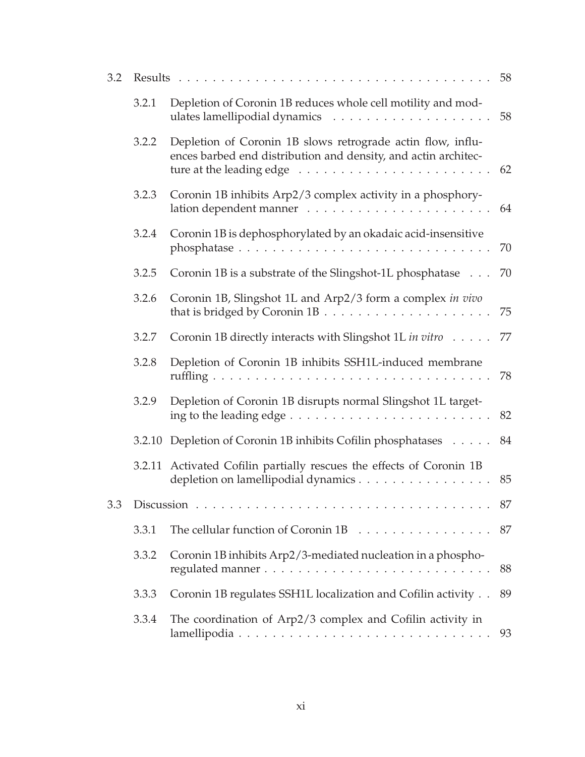| 3.2 |        | Results                                                                                                                                         | 58 |
|-----|--------|-------------------------------------------------------------------------------------------------------------------------------------------------|----|
|     | 3.2.1  | Depletion of Coronin 1B reduces whole cell motility and mod-                                                                                    | 58 |
|     | 3.2.2  | Depletion of Coronin 1B slows retrograde actin flow, influ-<br>ences barbed end distribution and density, and actin architec-                   | 62 |
|     | 3.2.3  | Coronin 1B inhibits Arp2/3 complex activity in a phosphory-                                                                                     | 64 |
|     | 3.2.4  | Coronin 1B is dephosphorylated by an okadaic acid-insensitive                                                                                   | 70 |
|     | 3.2.5  | Coronin 1B is a substrate of the Slingshot-1L phosphatase                                                                                       | 70 |
|     | 3.2.6  | Coronin 1B, Slingshot 1L and Arp2/3 form a complex in vivo                                                                                      | 75 |
|     | 3.2.7  | Coronin 1B directly interacts with Slingshot 1L in vitro                                                                                        | 77 |
|     | 3.2.8  | Depletion of Coronin 1B inhibits SSH1L-induced membrane                                                                                         | 78 |
|     | 3.2.9  | Depletion of Coronin 1B disrupts normal Slingshot 1L target-<br>ing to the leading edge $\dots \dots \dots \dots \dots \dots \dots \dots \dots$ | 82 |
|     |        | 3.2.10 Depletion of Coronin 1B inhibits Cofilin phosphatases                                                                                    | 84 |
|     | 3.2.11 | Activated Cofilin partially rescues the effects of Coronin 1B<br>depletion on lamellipodial dynamics                                            | 85 |
| 3.3 |        | Discussion $\ldots$                                                                                                                             | 87 |
|     | 3.3.1  |                                                                                                                                                 | 87 |
|     | 3.3.2  | Coronin 1B inhibits Arp2/3-mediated nucleation in a phospho-                                                                                    | 88 |
|     | 3.3.3  | Coronin 1B regulates SSH1L localization and Cofilin activity                                                                                    | 89 |
|     | 3.3.4  | The coordination of Arp2/3 complex and Cofilin activity in                                                                                      | 93 |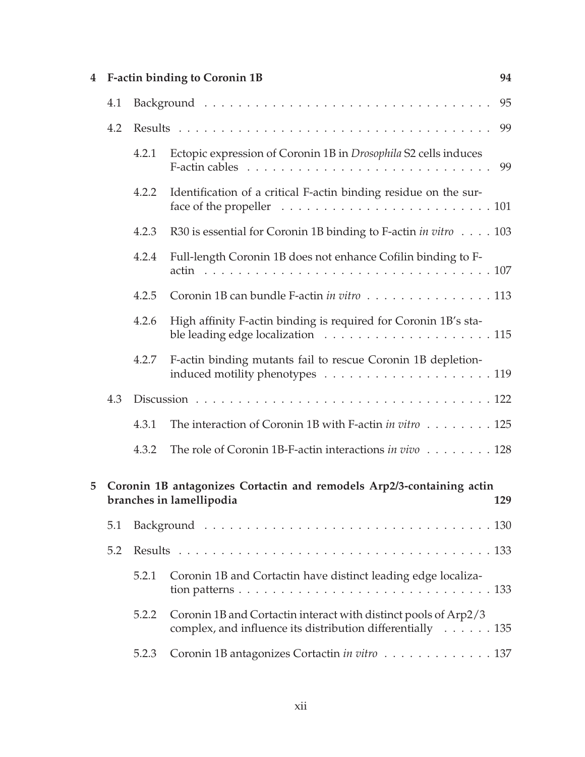|  |     |       | 4 F-actin binding to Coronin 1B                                                                                                                       | 94  |
|--|-----|-------|-------------------------------------------------------------------------------------------------------------------------------------------------------|-----|
|  | 4.1 |       |                                                                                                                                                       | 95  |
|  | 4.2 |       |                                                                                                                                                       | 99  |
|  |     | 4.2.1 | Ectopic expression of Coronin 1B in Drosophila S2 cells induces<br>F-actin cables $\dots \dots \dots \dots \dots \dots \dots \dots \dots \dots \dots$ | 99  |
|  |     | 4.2.2 | Identification of a critical F-actin binding residue on the sur-                                                                                      |     |
|  |     | 4.2.3 | R30 is essential for Coronin 1B binding to F-actin <i>in vitro</i> 103                                                                                |     |
|  |     | 4.2.4 | Full-length Coronin 1B does not enhance Cofilin binding to F-                                                                                         |     |
|  |     | 4.2.5 | Coronin 1B can bundle F-actin in vitro 113                                                                                                            |     |
|  |     | 4.2.6 | High affinity F-actin binding is required for Coronin 1B's sta-                                                                                       |     |
|  |     | 4.2.7 | F-actin binding mutants fail to rescue Coronin 1B depletion-                                                                                          |     |
|  | 4.3 |       |                                                                                                                                                       |     |
|  |     | 4.3.1 | The interaction of Coronin 1B with F-actin in vitro 125                                                                                               |     |
|  |     | 4.3.2 | The role of Coronin 1B-F-actin interactions in vivo 128                                                                                               |     |
|  |     |       | 5 Coronin 1B antagonizes Cortactin and remodels Arp2/3-containing actin<br>branches in lamellipodia                                                   | 129 |
|  | 5.1 |       |                                                                                                                                                       |     |
|  | 5.2 |       |                                                                                                                                                       |     |
|  |     | 5.2.1 | Coronin 1B and Cortactin have distinct leading edge localiza-                                                                                         |     |
|  |     | 5.2.2 | Coronin 1B and Cortactin interact with distinct pools of Arp2/3<br>complex, and influence its distribution differentially 135                         |     |
|  |     | 5.2.3 | Coronin 1B antagonizes Cortactin in vitro 137                                                                                                         |     |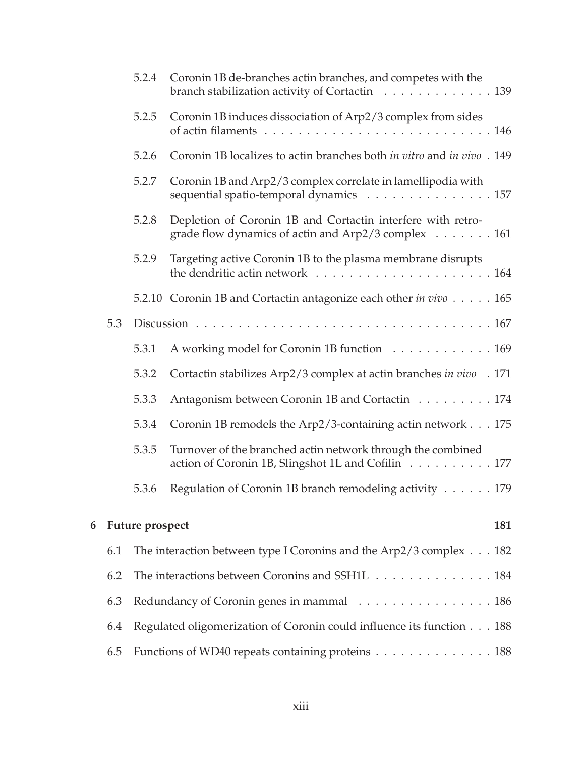|   |     | 5.2.4           | Coronin 1B de-branches actin branches, and competes with the<br>branch stabilization activity of Cortactin 139     |     |
|---|-----|-----------------|--------------------------------------------------------------------------------------------------------------------|-----|
|   |     | 5.2.5           | Coronin 1B induces dissociation of Arp2/3 complex from sides                                                       |     |
|   |     | 5.2.6           | Coronin 1B localizes to actin branches both in vitro and in vivo. 149                                              |     |
|   |     | 5.2.7           | Coronin 1B and Arp2/3 complex correlate in lamellipodia with<br>sequential spatio-temporal dynamics 157            |     |
|   |     | 5.2.8           | Depletion of Coronin 1B and Cortactin interfere with retro-<br>grade flow dynamics of actin and Arp2/3 complex 161 |     |
|   |     | 5.2.9           | Targeting active Coronin 1B to the plasma membrane disrupts                                                        |     |
|   |     |                 | 5.2.10 Coronin 1B and Cortactin antagonize each other in vivo 165                                                  |     |
|   | 5.3 |                 |                                                                                                                    |     |
|   |     | 5.3.1           | A working model for Coronin 1B function 169                                                                        |     |
|   |     | 5.3.2           | Cortactin stabilizes Arp2/3 complex at actin branches in vivo . 171                                                |     |
|   |     | 5.3.3           | Antagonism between Coronin 1B and Cortactin 174                                                                    |     |
|   |     | 5.3.4           | Coronin 1B remodels the Arp2/3-containing actin network 175                                                        |     |
|   |     | 5.3.5           | Turnover of the branched actin network through the combined<br>action of Coronin 1B, Slingshot 1L and Cofilin 177  |     |
|   |     | 5.3.6           | Regulation of Coronin 1B branch remodeling activity 179                                                            |     |
| 6 |     | Future prospect |                                                                                                                    | 181 |
|   | 6.1 |                 | The interaction between type I Coronins and the Arp2/3 complex 182                                                 |     |
|   | 6.2 |                 | The interactions between Coronins and SSH1L 184                                                                    |     |
|   | 6.3 |                 | Redundancy of Coronin genes in mammal 186                                                                          |     |
|   | 6.4 |                 | Regulated oligomerization of Coronin could influence its function 188                                              |     |
|   | 6.5 |                 | Functions of WD40 repeats containing proteins 188                                                                  |     |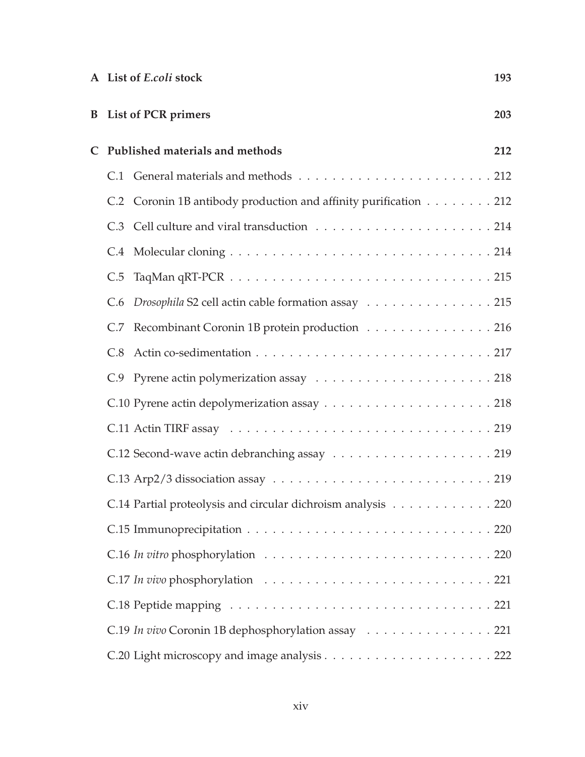|              | A List of E.coli stock                                           | 193 |
|--------------|------------------------------------------------------------------|-----|
|              | <b>B</b> List of PCR primers                                     | 203 |
| $\mathsf{C}$ | Published materials and methods                                  | 212 |
|              |                                                                  |     |
|              | C.2 Coronin 1B antibody production and affinity purification 212 |     |
|              |                                                                  |     |
|              |                                                                  |     |
|              |                                                                  |     |
|              | C.6 Drosophila S2 cell actin cable formation assay 215           |     |
|              | C.7 Recombinant Coronin 1B protein production 216                |     |
|              |                                                                  |     |
|              |                                                                  |     |
|              |                                                                  |     |
|              |                                                                  |     |
|              |                                                                  |     |
|              |                                                                  |     |
|              | C.14 Partial proteolysis and circular dichroism analysis 220     |     |
|              |                                                                  |     |
|              |                                                                  |     |
|              |                                                                  |     |
|              |                                                                  |     |
|              | C.19 In vivo Coronin 1B dephosphorylation assay 221              |     |
|              |                                                                  |     |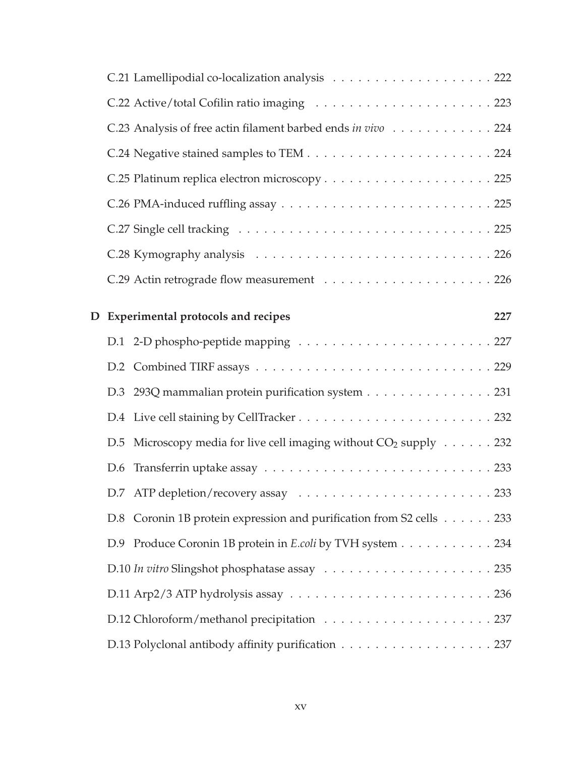|  | C.23 Analysis of free actin filament barbed ends in vivo 224                         |     |
|--|--------------------------------------------------------------------------------------|-----|
|  |                                                                                      |     |
|  |                                                                                      |     |
|  |                                                                                      |     |
|  |                                                                                      |     |
|  |                                                                                      |     |
|  |                                                                                      |     |
|  | D Experimental protocols and recipes                                                 | 227 |
|  |                                                                                      |     |
|  |                                                                                      |     |
|  | D.3 293Q mammalian protein purification system 231                                   |     |
|  |                                                                                      |     |
|  | D.5 Microscopy media for live cell imaging without $CO_2$ supply $\ldots \ldots$ 232 |     |
|  |                                                                                      |     |
|  |                                                                                      |     |
|  | D.8 Coronin 1B protein expression and purification from S2 cells 233                 |     |
|  | D.9 Produce Coronin 1B protein in E.coli by TVH system 234                           |     |
|  |                                                                                      |     |
|  |                                                                                      |     |
|  |                                                                                      |     |
|  | D.13 Polyclonal antibody affinity purification 237                                   |     |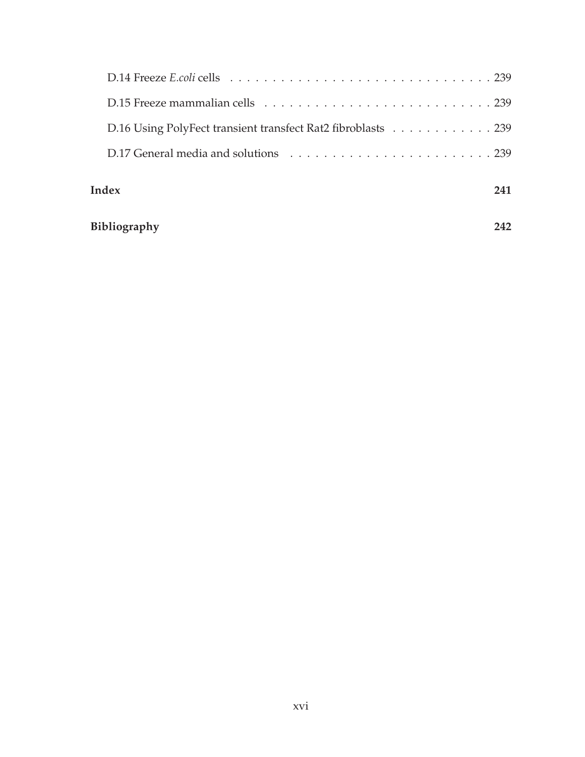| D.16 Using PolyFect transient transfect Rat2 fibroblasts 239 |     |
|--------------------------------------------------------------|-----|
|                                                              |     |
| Index                                                        | 241 |
| <b>Bibliography</b>                                          |     |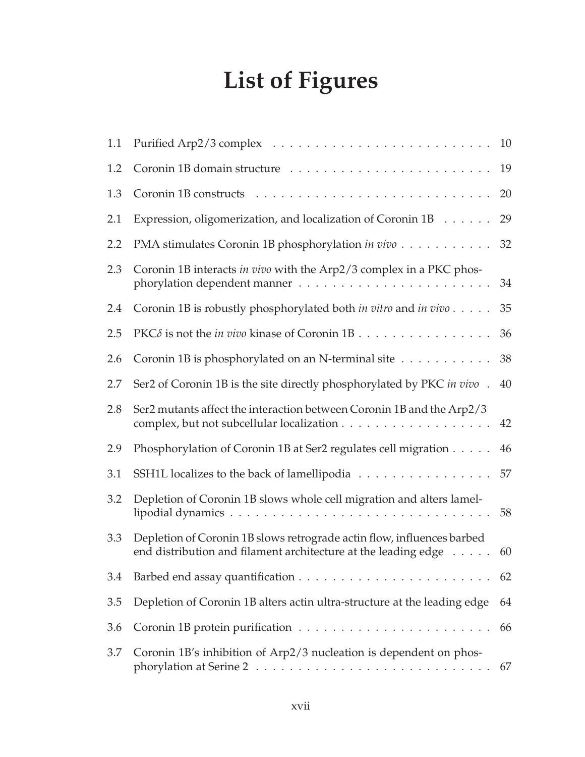# **List of Figures**

| 1.1 |                                                                                                                                          | 10 |
|-----|------------------------------------------------------------------------------------------------------------------------------------------|----|
| 1.2 | Coronin 1B domain structure                                                                                                              | 19 |
| 1.3 |                                                                                                                                          | 20 |
| 2.1 | Expression, oligomerization, and localization of Coronin 1B                                                                              | 29 |
| 2.2 | PMA stimulates Coronin 1B phosphorylation in vivo                                                                                        | 32 |
| 2.3 | Coronin 1B interacts in vivo with the Arp2/3 complex in a PKC phos-                                                                      | 34 |
| 2.4 | Coronin 1B is robustly phosphorylated both in vitro and in vivo                                                                          | 35 |
| 2.5 | PKC $\delta$ is not the <i>in vivo</i> kinase of Coronin 1B.                                                                             | 36 |
| 2.6 | Coronin 1B is phosphorylated on an N-terminal site                                                                                       | 38 |
| 2.7 | Ser2 of Coronin 1B is the site directly phosphorylated by PKC in vivo.                                                                   | 40 |
| 2.8 | Ser2 mutants affect the interaction between Coronin 1B and the Arp2/3                                                                    | 42 |
| 2.9 | Phosphorylation of Coronin 1B at Ser2 regulates cell migration                                                                           | 46 |
| 3.1 | SSH1L localizes to the back of lamellipodia                                                                                              | 57 |
| 3.2 | Depletion of Coronin 1B slows whole cell migration and alters lamel-                                                                     | 58 |
| 3.3 | Depletion of Coronin 1B slows retrograde actin flow, influences barbed<br>end distribution and filament architecture at the leading edge | 60 |
| 3.4 |                                                                                                                                          | 62 |
| 3.5 | Depletion of Coronin 1B alters actin ultra-structure at the leading edge                                                                 | 64 |
| 3.6 |                                                                                                                                          | 66 |
| 3.7 | Coronin 1B's inhibition of Arp2/3 nucleation is dependent on phos-                                                                       | 67 |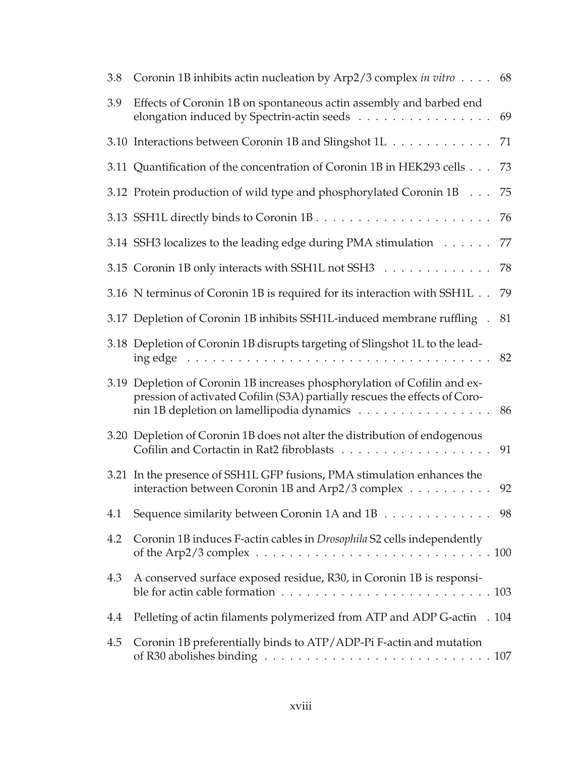| 3.8 | Coronin 1B inhibits actin nucleation by Arp2/3 complex in vitro 68                                                                                                                                   |    |
|-----|------------------------------------------------------------------------------------------------------------------------------------------------------------------------------------------------------|----|
| 3.9 | Effects of Coronin 1B on spontaneous actin assembly and barbed end<br>elongation induced by Spectrin-actin seeds                                                                                     | 69 |
|     | 3.10 Interactions between Coronin 1B and Slingshot 1L                                                                                                                                                | 71 |
|     | 3.11 Quantification of the concentration of Coronin 1B in HEK293 cells                                                                                                                               | 73 |
|     | 3.12 Protein production of wild type and phosphorylated Coronin 1B                                                                                                                                   | 75 |
|     |                                                                                                                                                                                                      | 76 |
|     | 3.14 SSH3 localizes to the leading edge during PMA stimulation                                                                                                                                       | 77 |
|     | 3.15 Coronin 1B only interacts with SSH1L not SSH3                                                                                                                                                   | 78 |
|     | 3.16 N terminus of Coronin 1B is required for its interaction with SSH1L                                                                                                                             | 79 |
|     | 3.17 Depletion of Coronin 1B inhibits SSH1L-induced membrane ruffling.                                                                                                                               | 81 |
|     | 3.18 Depletion of Coronin 1B disrupts targeting of Slingshot 1L to the lead-                                                                                                                         | 82 |
|     | 3.19 Depletion of Coronin 1B increases phosphorylation of Cofilin and ex-<br>pression of activated Cofilin (S3A) partially rescues the effects of Coro-<br>nin 1B depletion on lamellipodia dynamics | 86 |
|     | 3.20 Depletion of Coronin 1B does not alter the distribution of endogenous                                                                                                                           | 91 |
|     | 3.21 In the presence of SSH1L GFP fusions, PMA stimulation enhances the<br>interaction between Coronin 1B and Arp2/3 complex                                                                         | 92 |
| 4.1 | Sequence similarity between Coronin 1A and 1B 98                                                                                                                                                     |    |
| 4.2 | Coronin 1B induces F-actin cables in <i>Drosophila</i> S2 cells independently                                                                                                                        |    |
| 4.3 | A conserved surface exposed residue, R30, in Coronin 1B is responsi-                                                                                                                                 |    |
| 4.4 | Pelleting of actin filaments polymerized from ATP and ADP G-actin . 104                                                                                                                              |    |
| 4.5 | Coronin 1B preferentially binds to ATP/ADP-Pi F-actin and mutation                                                                                                                                   |    |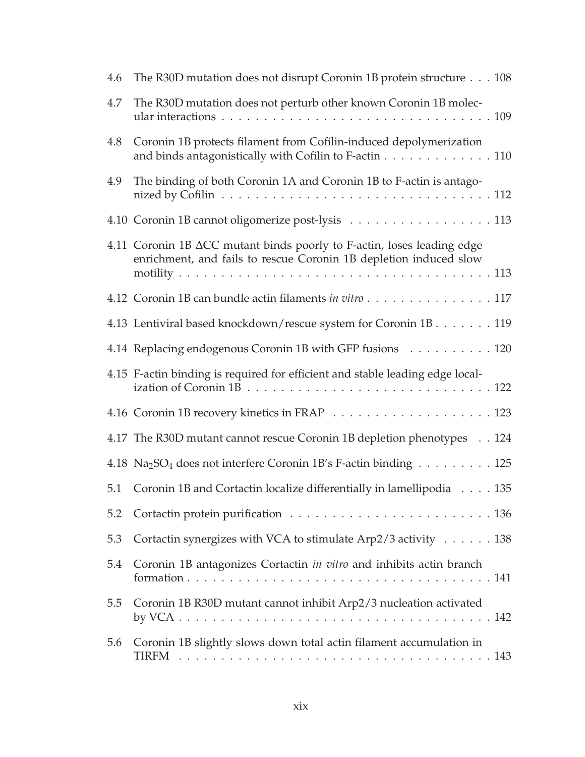| 4.6 | The R30D mutation does not disrupt Coronin 1B protein structure 108                                                                                            |
|-----|----------------------------------------------------------------------------------------------------------------------------------------------------------------|
| 4.7 | The R30D mutation does not perturb other known Coronin 1B molec-                                                                                               |
| 4.8 | Coronin 1B protects filament from Cofilin-induced depolymerization<br>and binds antagonistically with Cofilin to F-actin $\dots \dots \dots \dots \dots \dots$ |
| 4.9 | The binding of both Coronin 1A and Coronin 1B to F-actin is antago-                                                                                            |
|     | 4.10 Coronin 1B cannot oligomerize post-lysis 113                                                                                                              |
|     | 4.11 Coronin 1B ACC mutant binds poorly to F-actin, loses leading edge<br>enrichment, and fails to rescue Coronin 1B depletion induced slow                    |
|     | 4.12 Coronin 1B can bundle actin filaments in vitro 117                                                                                                        |
|     | 4.13 Lentiviral based knockdown/rescue system for Coronin 1B. 119                                                                                              |
|     | 4.14 Replacing endogenous Coronin 1B with GFP fusions 120                                                                                                      |
|     | 4.15 F-actin binding is required for efficient and stable leading edge local-                                                                                  |
|     |                                                                                                                                                                |
|     | 4.17 The R30D mutant cannot rescue Coronin 1B depletion phenotypes 124                                                                                         |
|     | 4.18 Na <sub>2</sub> SO <sub>4</sub> does not interfere Coronin 1B's F-actin binding 125                                                                       |
| 5.1 | Coronin 1B and Cortactin localize differentially in lamellipodia 135                                                                                           |
| 5.2 |                                                                                                                                                                |
| 5.3 | Cortactin synergizes with VCA to stimulate Arp2/3 activity 138                                                                                                 |
| 5.4 | Coronin 1B antagonizes Cortactin in vitro and inhibits actin branch                                                                                            |
| 5.5 | Coronin 1B R30D mutant cannot inhibit Arp2/3 nucleation activated                                                                                              |
| 5.6 | Coronin 1B slightly slows down total actin filament accumulation in                                                                                            |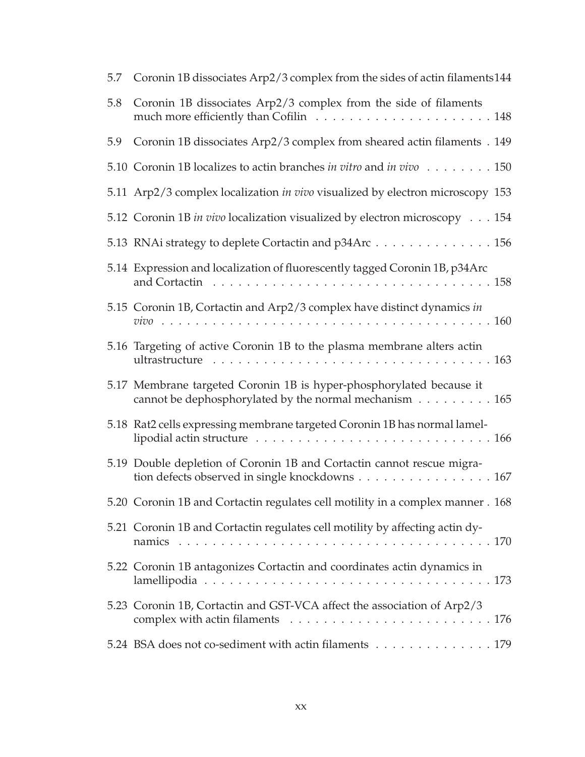| 5.7 | Coronin 1B dissociates Arp2/3 complex from the sides of actin filaments144                                                                                                          |
|-----|-------------------------------------------------------------------------------------------------------------------------------------------------------------------------------------|
| 5.8 | Coronin 1B dissociates Arp2/3 complex from the side of filaments                                                                                                                    |
| 5.9 | Coronin 1B dissociates Arp2/3 complex from sheared actin filaments . 149                                                                                                            |
|     | 5.10 Coronin 1B localizes to actin branches in vitro and in vivo 150                                                                                                                |
|     | 5.11 Arp2/3 complex localization <i>in vivo</i> visualized by electron microscopy 153                                                                                               |
|     | 5.12 Coronin 1B in vivo localization visualized by electron microscopy 154                                                                                                          |
|     | 5.13 RNAi strategy to deplete Cortactin and p34Arc 156                                                                                                                              |
|     | 5.14 Expression and localization of fluorescently tagged Coronin 1B, p34Arc                                                                                                         |
|     | 5.15 Coronin 1B, Cortactin and Arp2/3 complex have distinct dynamics in                                                                                                             |
|     | 5.16 Targeting of active Coronin 1B to the plasma membrane alters actin<br>ultrastructure $\ldots \ldots \ldots \ldots \ldots \ldots \ldots \ldots \ldots \ldots \ldots \ldots 163$ |
|     | 5.17 Membrane targeted Coronin 1B is hyper-phosphorylated because it<br>cannot be dephosphorylated by the normal mechanism $\dots \dots \dots \dots 165$                            |
|     | 5.18 Rat2 cells expressing membrane targeted Coronin 1B has normal lamel-                                                                                                           |
|     | 5.19 Double depletion of Coronin 1B and Cortactin cannot rescue migra-<br>tion defects observed in single knockdowns 167                                                            |
|     | 5.20 Coronin 1B and Cortactin regulates cell motility in a complex manner . 168                                                                                                     |
|     | 5.21 Coronin 1B and Cortactin regulates cell motility by affecting actin dy-                                                                                                        |
|     | 5.22 Coronin 1B antagonizes Cortactin and coordinates actin dynamics in                                                                                                             |
|     | 5.23 Coronin 1B, Cortactin and GST-VCA affect the association of Arp2/3                                                                                                             |
|     | 5.24 BSA does not co-sediment with actin filaments 179                                                                                                                              |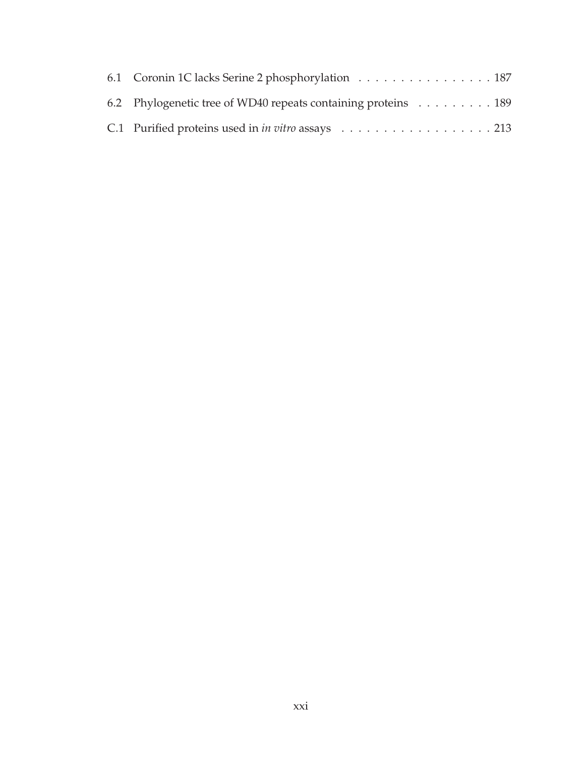| 6.1 Coronin 1C lacks Serine 2 phosphorylation 187             |  |
|---------------------------------------------------------------|--|
| 6.2 Phylogenetic tree of WD40 repeats containing proteins 189 |  |
|                                                               |  |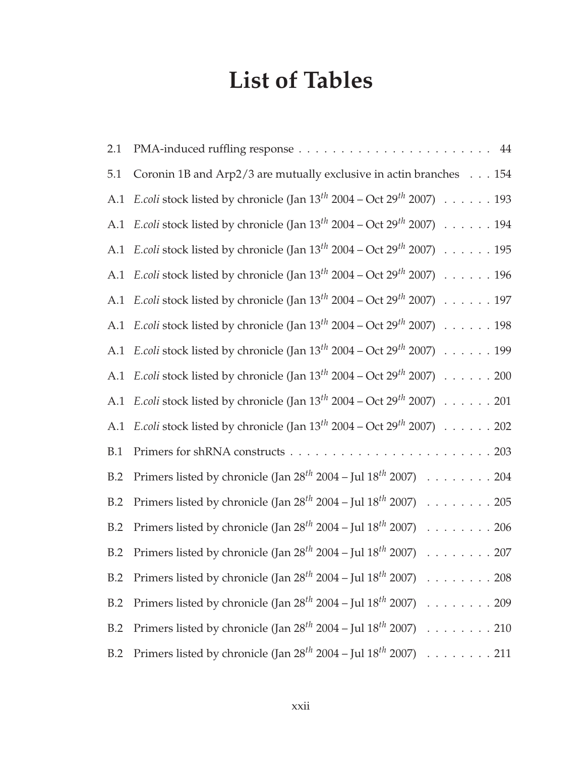## **List of Tables**

| 2.1 |                                                                                                       |
|-----|-------------------------------------------------------------------------------------------------------|
| 5.1 | Coronin 1B and Arp2/3 are mutually exclusive in actin branches 154                                    |
| A.1 | <i>E.coli</i> stock listed by chronicle (Jan $13^{th}$ 2004 – Oct 29 <sup>th</sup> 2007) 193          |
|     | A.1 <i>E.coli</i> stock listed by chronicle (Jan $13^{th}$ 2004 – Oct 29 <sup>th</sup> 2007) 194      |
|     | A.1 <i>E.coli</i> stock listed by chronicle (Jan $13^{th}$ 2004 – Oct $29^{th}$ 2007) 195             |
| A.1 | <i>E.coli</i> stock listed by chronicle (Jan $13^{th}$ 2004 – Oct $29^{th}$ 2007) $\ldots \ldots$ 196 |
|     | A.1 <i>E.coli</i> stock listed by chronicle (Jan $13^{th}$ 2004 – Oct $29^{th}$ 2007) 197             |
|     | A.1 <i>E.coli</i> stock listed by chronicle (Jan $13^{th}$ 2004 – Oct 29 <sup>th</sup> 2007) 198      |
|     | A.1 <i>E.coli</i> stock listed by chronicle (Jan $13^{th}$ 2004 – Oct 29 <sup>th</sup> 2007) 199      |
|     | A.1 <i>E.coli</i> stock listed by chronicle (Jan $13^{th}$ 2004 – Oct 29 <sup>th</sup> 2007) 200      |
| A.1 | <i>E.coli</i> stock listed by chronicle (Jan $13^{th}$ 2004 – Oct 29 <sup>th</sup> 2007) 201          |
|     | A.1 <i>E.coli</i> stock listed by chronicle (Jan $13^{th}$ 2004 – Oct $29^{th}$ 2007) 202             |
| B.1 |                                                                                                       |
| B.2 | Primers listed by chronicle (Jan $28^{th}$ 2004 – Jul $18^{th}$ 2007) 204                             |
| B.2 | Primers listed by chronicle (Jan $28^{th}$ 2004 – Jul $18^{th}$ 2007) 205                             |
| B.2 | Primers listed by chronicle (Jan $28^{th}$ 2004 – Jul $18^{th}$ 2007) 206                             |
| B.2 | Primers listed by chronicle (Jan $28^{th}$ 2004 – Jul $18^{th}$ 2007) 207                             |
| B.2 | Primers listed by chronicle (Jan $28^{th}$ 2004 – Jul $18^{th}$ 2007) 208                             |
| B.2 | Primers listed by chronicle (Jan $28^{th}$ 2004 – Jul $18^{th}$ 2007) 209                             |
| B.2 | Primers listed by chronicle (Jan $28^{th}$ 2004 – Jul $18^{th}$ 2007) 210                             |
| B.2 | Primers listed by chronicle (Jan $28^{th}$ 2004 – Jul $18^{th}$ 2007) 211                             |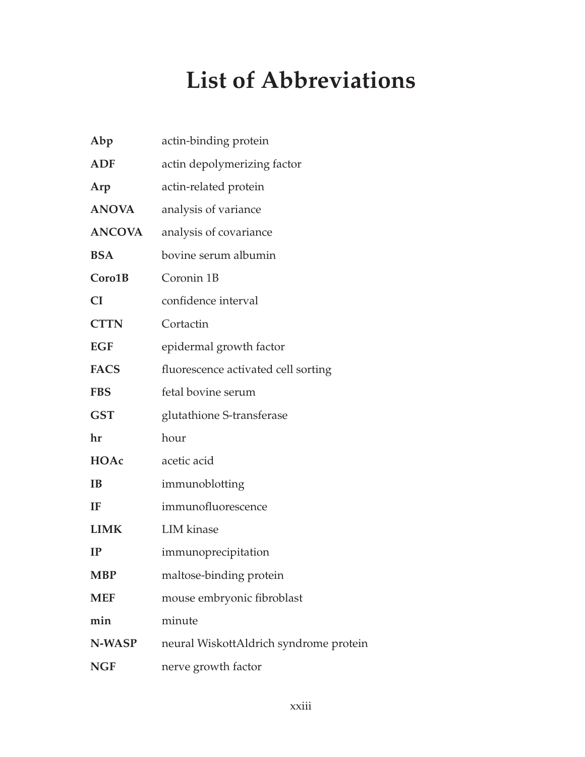# **List of Abbreviations**

| Abp           | actin-binding protein                  |
|---------------|----------------------------------------|
| <b>ADF</b>    | actin depolymerizing factor            |
| Arp           | actin-related protein                  |
| <b>ANOVA</b>  | analysis of variance                   |
| <b>ANCOVA</b> | analysis of covariance                 |
| <b>BSA</b>    | bovine serum albumin                   |
| Coro1B        | Coronin 1B                             |
| <b>CI</b>     | confidence interval                    |
| <b>CTTN</b>   | Cortactin                              |
| <b>EGF</b>    | epidermal growth factor                |
| <b>FACS</b>   | fluorescence activated cell sorting    |
| <b>FBS</b>    | fetal bovine serum                     |
| <b>GST</b>    | glutathione S-transferase              |
| hr            | hour                                   |
| HOAc          | acetic acid                            |
| <b>IB</b>     | immunoblotting                         |
| IF            | immunofluorescence                     |
| <b>LIMK</b>   | <b>LIM</b> kinase                      |
| IP            | immunoprecipitation                    |
| <b>MBP</b>    | maltose-binding protein                |
| <b>MEF</b>    | mouse embryonic fibroblast             |
| min           | minute                                 |
| N-WASP        | neural WiskottAldrich syndrome protein |
| <b>NGF</b>    | nerve growth factor                    |